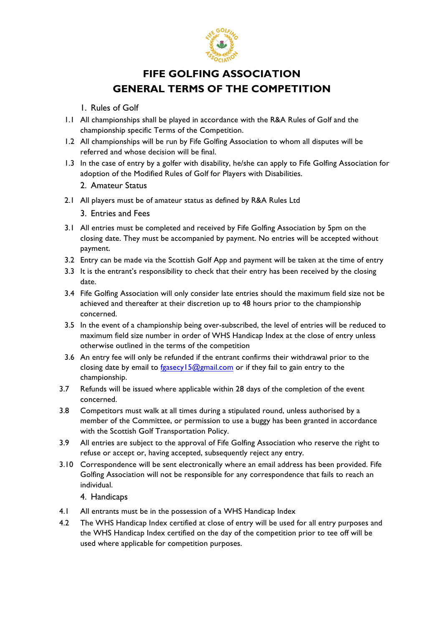

## **FIFE GOLFING ASSOCIATION GENERAL TERMS OF THE COMPETITION**

- 1. Rules of Golf
- 1.1 All championships shall be played in accordance with the R&A Rules of Golf and the championship specific Terms of the Competition.
- 1.2 All championships will be run by Fife Golfing Association to whom all disputes will be referred and whose decision will be final.
- 1.3 In the case of entry by a golfer with disability, he/she can apply to Fife Golfing Association for adoption of the Modified Rules of Golf for Players with Disabilities.
	- 2. Amateur Status
- 2.1 All players must be of amateur status as defined by R&A Rules Ltd
	- 3. Entries and Fees
- 3.1 All entries must be completed and received by Fife Golfing Association by 5pm on the closing date. They must be accompanied by payment. No entries will be accepted without payment.
- 3.2 Entry can be made via the Scottish Golf App and payment will be taken at the time of entry
- 3.3 It is the entrant's responsibility to check that their entry has been received by the closing date.
- 3.4 Fife Golfing Association will only consider late entries should the maximum field size not be achieved and thereafter at their discretion up to 48 hours prior to the championship concerned.
- 3.5 In the event of a championship being over-subscribed, the level of entries will be reduced to maximum field size number in order of WHS Handicap Index at the close of entry unless otherwise outlined in the terms of the competition
- 3.6 An entry fee will only be refunded if the entrant confirms their withdrawal prior to the closing date by email to fgasecy  $15@gmail.com$  or if they fail to gain entry to the championship.
- 3.7 Refunds will be issued where applicable within 28 days of the completion of the event concerned.
- 3.8 Competitors must walk at all times during a stipulated round, unless authorised by a member of the Committee, or permission to use a buggy has been granted in accordance with the Scottish Golf Transportation Policy.
- 3.9 All entries are subject to the approval of Fife Golfing Association who reserve the right to refuse or accept or, having accepted, subsequently reject any entry.
- 3.10 Correspondence will be sent electronically where an email address has been provided. Fife Golfing Association will not be responsible for any correspondence that fails to reach an individual.

## 4. Handicaps

- 4.1 All entrants must be in the possession of a WHS Handicap Index
- 4.2 The WHS Handicap Index certified at close of entry will be used for all entry purposes and the WHS Handicap Index certified on the day of the competition prior to tee off will be used where applicable for competition purposes.